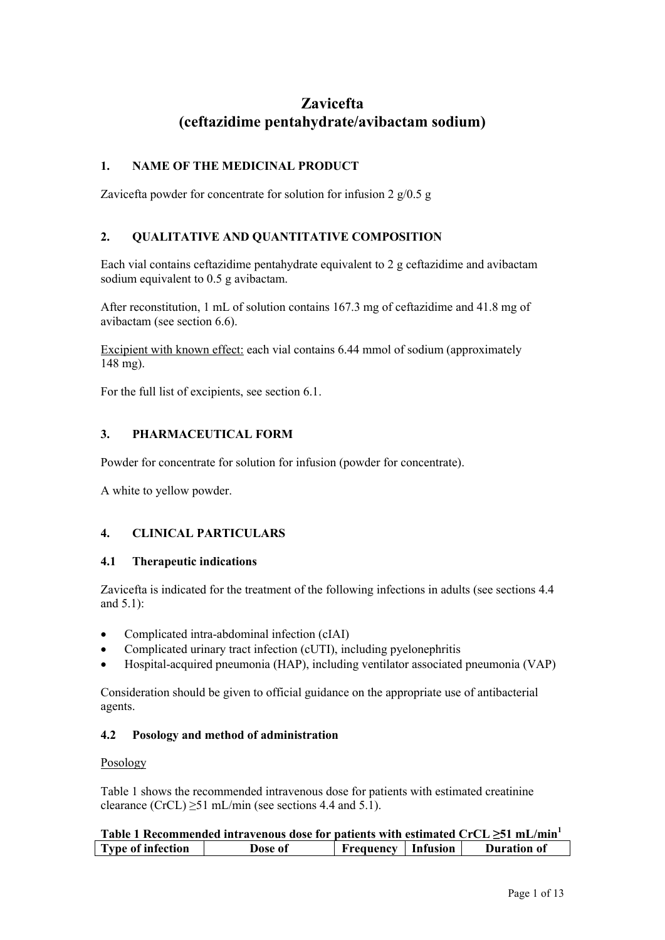# **Zavicefta (ceftazidime pentahydrate/avibactam sodium)**

# **1. NAME OF THE MEDICINAL PRODUCT**

Zavicefta powder for concentrate for solution for infusion  $2 \frac{g}{0.5}$  g

# **2. QUALITATIVE AND QUANTITATIVE COMPOSITION**

Each vial contains ceftazidime pentahydrate equivalent to 2 g ceftazidime and avibactam sodium equivalent to 0.5 g avibactam.

After reconstitution, 1 mL of solution contains 167.3 mg of ceftazidime and 41.8 mg of avibactam (see section 6.6).

Excipient with known effect: each vial contains 6.44 mmol of sodium (approximately 148 mg).

For the full list of excipients, see section 6.1.

# **3. PHARMACEUTICAL FORM**

Powder for concentrate for solution for infusion (powder for concentrate).

A white to yellow powder.

# **4. CLINICAL PARTICULARS**

### **4.1 Therapeutic indications**

Zavicefta is indicated for the treatment of the following infections in adults (see sections 4.4 and 5.1):

- Complicated intra-abdominal infection (cIAI)
- Complicated urinary tract infection (cUTI), including pyelonephritis
- Hospital-acquired pneumonia (HAP), including ventilator associated pneumonia (VAP)

Consideration should be given to official guidance on the appropriate use of antibacterial agents.

### **4.2 Posology and method of administration**

### Posology

Table 1 shows the recommended intravenous dose for patients with estimated creatinine clearance (CrCL)  $\geq$ 51 mL/min (see sections 4.4 and 5.1).

|                          | Table 1 Recommended intravenous dose for patients with estimated $CrCL \geq 51$ mL/min <sup>1</sup> |                             |                    |
|--------------------------|-----------------------------------------------------------------------------------------------------|-----------------------------|--------------------|
| <b>Type of infection</b> | Dose of                                                                                             | <b>Frequency</b>   Infusion | <b>Duration of</b> |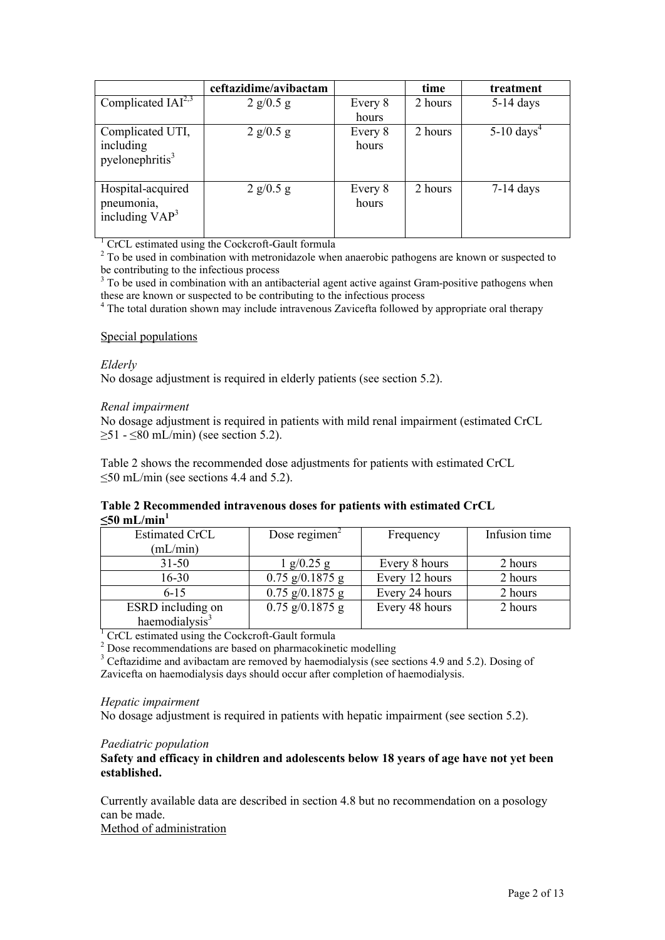|                                                     | ceftazidime/avibactam |                  | time    | treatment              |
|-----------------------------------------------------|-----------------------|------------------|---------|------------------------|
| Complicated $IAI2,3$                                | $2$ g/0.5 g           | Every 8          | 2 hours | $5-14$ days            |
|                                                     |                       | hours            |         |                        |
| Complicated UTI,<br>including<br>pyelonephritis $3$ | 2 g/0.5 g             | Every 8<br>hours | 2 hours | 5-10 days <sup>4</sup> |
| Hospital-acquired<br>pneumonia,<br>including $VAP3$ | $2$ g/0.5 g           | Every 8<br>hours | 2 hours | $7-14$ days            |

<sup>1</sup> CrCL estimated using the Cockcroft-Gault formula

<sup>2</sup> To be used in combination with metronidazole when anaerobic pathogens are known or suspected to be contributing to the infectious process

 $3$  To be used in combination with an antibacterial agent active against Gram-positive pathogens when these are known or suspected to be contributing to the infectious process

<sup>4</sup> The total duration shown may include intravenous Zavicefta followed by appropriate oral therapy

#### Special populations

*Elderly*

No dosage adjustment is required in elderly patients (see section 5.2).

#### *Renal impairment*

No dosage adjustment is required in patients with mild renal impairment (estimated CrCL  $\geq$ 51 -  $\leq$ 80 mL/min) (see section 5.2).

Table 2 shows the recommended dose adjustments for patients with estimated CrCL ≤50 mL/min (see sections 4.4 and 5.2).

### **Table 2 Recommended intravenous doses for patients with estimated CrCL**   $\leq 50$  **mL/min**<sup>1</sup>

| <b>Estimated CrCL</b>      | Dose regimen $\overline{a}$ | Frequency      | Infusion time |
|----------------------------|-----------------------------|----------------|---------------|
| (mL/min)                   |                             |                |               |
| $31 - 50$                  | $1$ g/0.25 g                | Every 8 hours  | 2 hours       |
| $16 - 30$                  | $0.75$ g/0.1875 g           | Every 12 hours | 2 hours       |
| $6 - 15$                   | $0.75$ g/0.1875 g           | Every 24 hours | 2 hours       |
| ESRD including on          | $0.75$ g/0.1875 g           | Every 48 hours | 2 hours       |
| haemodialysis <sup>3</sup> |                             |                |               |

<sup>1</sup> CrCL estimated using the Cockcroft-Gault formula

<sup>2</sup> Dose recommendations are based on pharmacokinetic modelling

<sup>3</sup> Ceftazidime and avibactam are removed by haemodialysis (see sections 4.9 and 5.2). Dosing of Zavicefta on haemodialysis days should occur after completion of haemodialysis.

#### *Hepatic impairment*

No dosage adjustment is required in patients with hepatic impairment (see section 5.2).

### *Paediatric population*

**Safety and efficacy in children and adolescents below 18 years of age have not yet been established.**

Currently available data are described in section 4.8 but no recommendation on a posology can be made.

Method of administration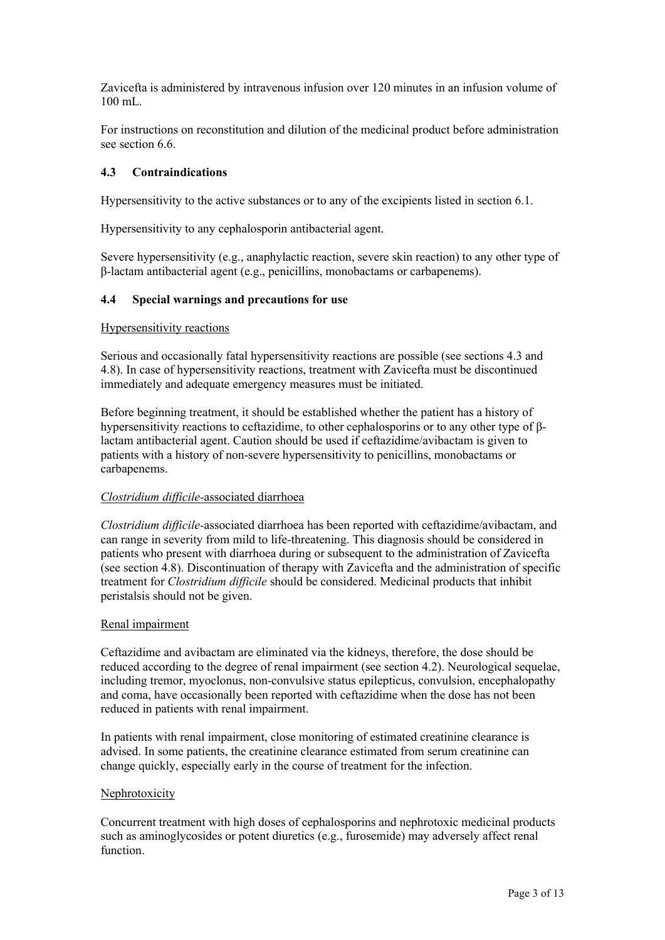Zavicefta is administered by intravenous infusion over 120 minutes in an infusion volume of 100 mL.

For instructions on reconstitution and dilution of the medicinal product before administration see section 6.6.

### **4.3 Contraindications**

Hypersensitivity to the active substances or to any of the excipients listed in section 6.1.

Hypersensitivity to any cephalosporin antibacterial agent.

Severe hypersensitivity (e.g., anaphylactic reaction, severe skin reaction) to any other type of β-lactam antibacterial agent (e.g., penicillins, monobactams or carbapenems).

### **4.4 Special warnings and precautions for use**

### Hypersensitivity reactions

Serious and occasionally fatal hypersensitivity reactions are possible (see sections 4.3 and 4.8). In case of hypersensitivity reactions, treatment with Zavicefta must be discontinued immediately and adequate emergency measures must be initiated.

Before beginning treatment, it should be established whether the patient has a history of hypersensitivity reactions to ceftazidime, to other cephalosporins or to any other type of βlactam antibacterial agent. Caution should be used if ceftazidime/avibactam is given to patients with a history of non-severe hypersensitivity to penicillins, monobactams or carbapenems.

### *Clostridium difficile-*associated diarrhoea

*Clostridium difficile-*associated diarrhoea has been reported with ceftazidime/avibactam, and can range in severity from mild to life-threatening. This diagnosis should be considered in patients who present with diarrhoea during or subsequent to the administration of Zavicefta (see section 4.8). Discontinuation of therapy with Zavicefta and the administration of specific treatment for *Clostridium difficile* should be considered. Medicinal products that inhibit peristalsis should not be given.

### Renal impairment

Ceftazidime and avibactam are eliminated via the kidneys, therefore, the dose should be reduced according to the degree of renal impairment (see section 4.2). Neurological sequelae, including tremor, myoclonus, non-convulsive status epilepticus, convulsion, encephalopathy and coma, have occasionally been reported with ceftazidime when the dose has not been reduced in patients with renal impairment.

In patients with renal impairment, close monitoring of estimated creatinine clearance is advised. In some patients, the creatinine clearance estimated from serum creatinine can change quickly, especially early in the course of treatment for the infection.

### Nephrotoxicity

Concurrent treatment with high doses of cephalosporins and nephrotoxic medicinal products such as aminoglycosides or potent diuretics (e.g., furosemide) may adversely affect renal function.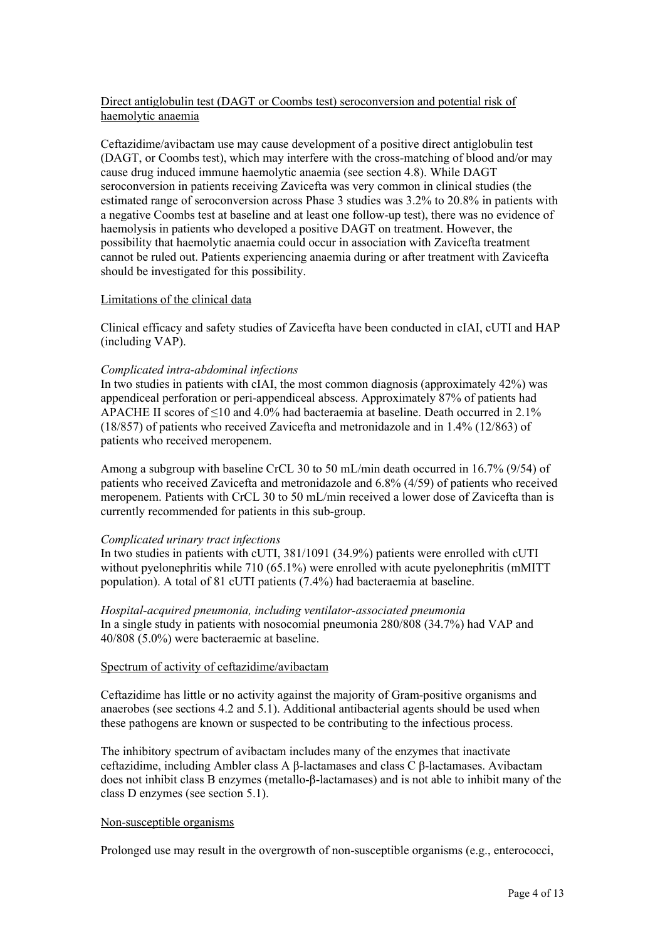# Direct antiglobulin test (DAGT or Coombs test) seroconversion and potential risk of haemolytic anaemia

Ceftazidime/avibactam use may cause development of a positive direct antiglobulin test (DAGT, or Coombs test), which may interfere with the cross-matching of blood and/or may cause drug induced immune haemolytic anaemia (see section 4.8). While DAGT seroconversion in patients receiving Zavicefta was very common in clinical studies (the estimated range of seroconversion across Phase 3 studies was 3.2% to 20.8% in patients with a negative Coombs test at baseline and at least one follow-up test), there was no evidence of haemolysis in patients who developed a positive DAGT on treatment. However, the possibility that haemolytic anaemia could occur in association with Zavicefta treatment cannot be ruled out. Patients experiencing anaemia during or after treatment with Zavicefta should be investigated for this possibility.

### Limitations of the clinical data

Clinical efficacy and safety studies of Zavicefta have been conducted in cIAI, cUTI and HAP (including VAP).

# *Complicated intra-abdominal infections*

In two studies in patients with cIAI, the most common diagnosis (approximately 42%) was appendiceal perforation or peri-appendiceal abscess. Approximately 87% of patients had APACHE II scores of  $\leq 10$  and 4.0% had bacteraemia at baseline. Death occurred in 2.1% (18/857) of patients who received Zavicefta and metronidazole and in 1.4% (12/863) of patients who received meropenem.

Among a subgroup with baseline CrCL 30 to 50 mL/min death occurred in 16.7% (9/54) of patients who received Zavicefta and metronidazole and 6.8% (4/59) of patients who received meropenem. Patients with CrCL 30 to 50 mL/min received a lower dose of Zavicefta than is currently recommended for patients in this sub-group.

### *Complicated urinary tract infections*

In two studies in patients with cUTI, 381/1091 (34.9%) patients were enrolled with cUTI without pyelonephritis while 710 (65.1%) were enrolled with acute pyelonephritis (mMITT population). A total of 81 cUTI patients (7.4%) had bacteraemia at baseline.

*Hospital-acquired pneumonia, including ventilator-associated pneumonia* In a single study in patients with nosocomial pneumonia 280/808 (34.7%) had VAP and 40/808 (5.0%) were bacteraemic at baseline.

### Spectrum of activity of ceftazidime/avibactam

Ceftazidime has little or no activity against the majority of Gram-positive organisms and anaerobes (see sections 4.2 and 5.1). Additional antibacterial agents should be used when these pathogens are known or suspected to be contributing to the infectious process.

The inhibitory spectrum of avibactam includes many of the enzymes that inactivate ceftazidime, including Ambler class A β-lactamases and class C β-lactamases. Avibactam does not inhibit class B enzymes (metallo-β-lactamases) and is not able to inhibit many of the class D enzymes (see section 5.1).

### Non-susceptible organisms

Prolonged use may result in the overgrowth of non-susceptible organisms (e.g., enterococci,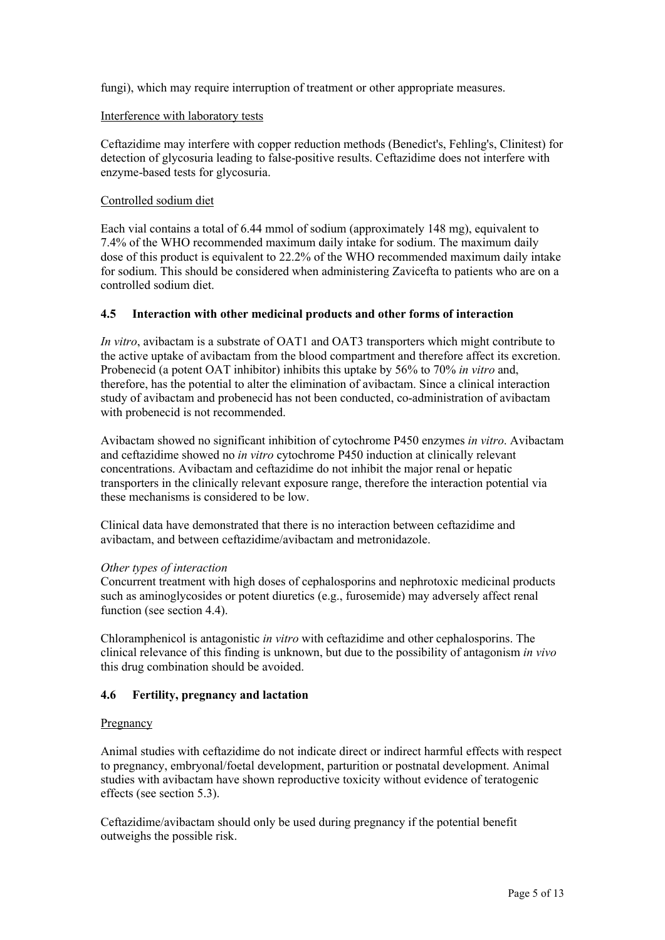fungi), which may require interruption of treatment or other appropriate measures.

### Interference with laboratory tests

Ceftazidime may interfere with copper reduction methods (Benedict's, Fehling's, Clinitest) for detection of glycosuria leading to false-positive results. Ceftazidime does not interfere with enzyme-based tests for glycosuria.

### Controlled sodium diet

Each vial contains a total of 6.44 mmol of sodium (approximately 148 mg), equivalent to 7.4% of the WHO recommended maximum daily intake for sodium. The maximum daily dose of this product is equivalent to 22.2% of the WHO recommended maximum daily intake for sodium. This should be considered when administering Zavicefta to patients who are on a controlled sodium diet.

#### **4.5 Interaction with other medicinal products and other forms of interaction**

*In vitro*, avibactam is a substrate of OAT1 and OAT3 transporters which might contribute to the active uptake of avibactam from the blood compartment and therefore affect its excretion. Probenecid (a potent OAT inhibitor) inhibits this uptake by 56% to 70% *in vitro* and, therefore, has the potential to alter the elimination of avibactam. Since a clinical interaction study of avibactam and probenecid has not been conducted, co-administration of avibactam with probenecid is not recommended.

Avibactam showed no significant inhibition of cytochrome P450 enzymes *in vitro*. Avibactam and ceftazidime showed no *in vitro* cytochrome P450 induction at clinically relevant concentrations. Avibactam and ceftazidime do not inhibit the major renal or hepatic transporters in the clinically relevant exposure range, therefore the interaction potential via these mechanisms is considered to be low.

Clinical data have demonstrated that there is no interaction between ceftazidime and avibactam, and between ceftazidime/avibactam and metronidazole.

### *Other types of interaction*

Concurrent treatment with high doses of cephalosporins and nephrotoxic medicinal products such as aminoglycosides or potent diuretics (e.g., furosemide) may adversely affect renal function (see section 4.4).

Chloramphenicol is antagonistic *in vitro* with ceftazidime and other cephalosporins. The clinical relevance of this finding is unknown, but due to the possibility of antagonism *in vivo* this drug combination should be avoided.

### **4.6 Fertility, pregnancy and lactation**

### **Pregnancy**

Animal studies with ceftazidime do not indicate direct or indirect harmful effects with respect to pregnancy, embryonal/foetal development, parturition or postnatal development. Animal studies with avibactam have shown reproductive toxicity without evidence of teratogenic effects (see section 5.3).

Ceftazidime/avibactam should only be used during pregnancy if the potential benefit outweighs the possible risk.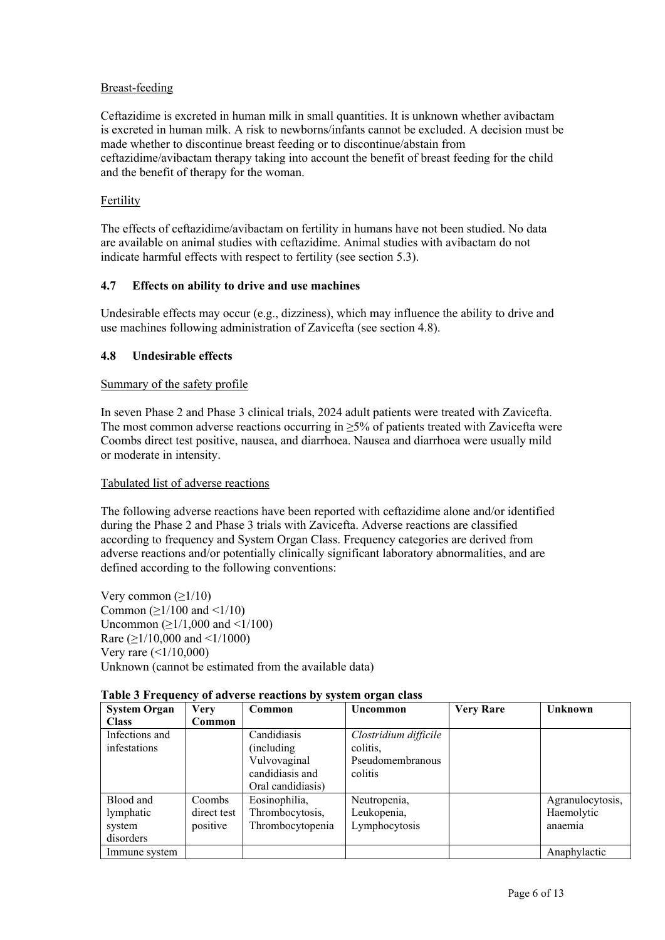# Breast-feeding

Ceftazidime is excreted in human milk in small quantities. It is unknown whether avibactam is excreted in human milk. A risk to newborns/infants cannot be excluded. A decision must be made whether to discontinue breast feeding or to discontinue/abstain from ceftazidime/avibactam therapy taking into account the benefit of breast feeding for the child and the benefit of therapy for the woman.

### Fertility

The effects of ceftazidime/avibactam on fertility in humans have not been studied. No data are available on animal studies with ceftazidime. Animal studies with avibactam do not indicate harmful effects with respect to fertility (see section 5.3).

# **4.7 Effects on ability to drive and use machines**

Undesirable effects may occur (e.g., dizziness), which may influence the ability to drive and use machines following administration of Zavicefta (see section 4.8).

# **4.8 Undesirable effects**

### Summary of the safety profile

In seven Phase 2 and Phase 3 clinical trials, 2024 adult patients were treated with Zavicefta. The most common adverse reactions occurring in  $>5\%$  of patients treated with Zavicefta were Coombs direct test positive, nausea, and diarrhoea. Nausea and diarrhoea were usually mild or moderate in intensity.

### Tabulated list of adverse reactions

The following adverse reactions have been reported with ceftazidime alone and/or identified during the Phase 2 and Phase 3 trials with Zavicefta. Adverse reactions are classified according to frequency and System Organ Class. Frequency categories are derived from adverse reactions and/or potentially clinically significant laboratory abnormalities, and are defined according to the following conventions:

Very common  $(≥1/10)$ Common ( $\geq$ 1/100 and <1/10) Uncommon ( $≥1/1,000$  and <1/100) Rare ( $\geq$ 1/10,000 and <1/1000) Very rare  $($  <  $1/10,000)$ Unknown (cannot be estimated from the available data)

| <b>System Organ</b> | <b>Very</b>   | Common            | Uncommon              | <b>Very Rare</b> | <b>Unknown</b>   |
|---------------------|---------------|-------------------|-----------------------|------------------|------------------|
| <b>Class</b>        | <b>Common</b> |                   |                       |                  |                  |
| Infections and      |               | Candidiasis       | Clostridium difficile |                  |                  |
| infestations        |               | (including)       | colitis,              |                  |                  |
|                     |               | Vulvovaginal      | Pseudomembranous      |                  |                  |
|                     |               | candidiasis and   | colitis               |                  |                  |
|                     |               | Oral candidiasis) |                       |                  |                  |
| Blood and           | Coombs        | Eosinophilia,     | Neutropenia,          |                  | Agranulocytosis, |
| lymphatic           | direct test   | Thrombocytosis,   | Leukopenia,           |                  | Haemolytic       |
| system              | positive      | Thrombocytopenia  | Lymphocytosis         |                  | anaemia          |
| disorders           |               |                   |                       |                  |                  |
| Immune system       |               |                   |                       |                  | Anaphylactic     |

### **Table 3 Frequency of adverse reactions by system organ class**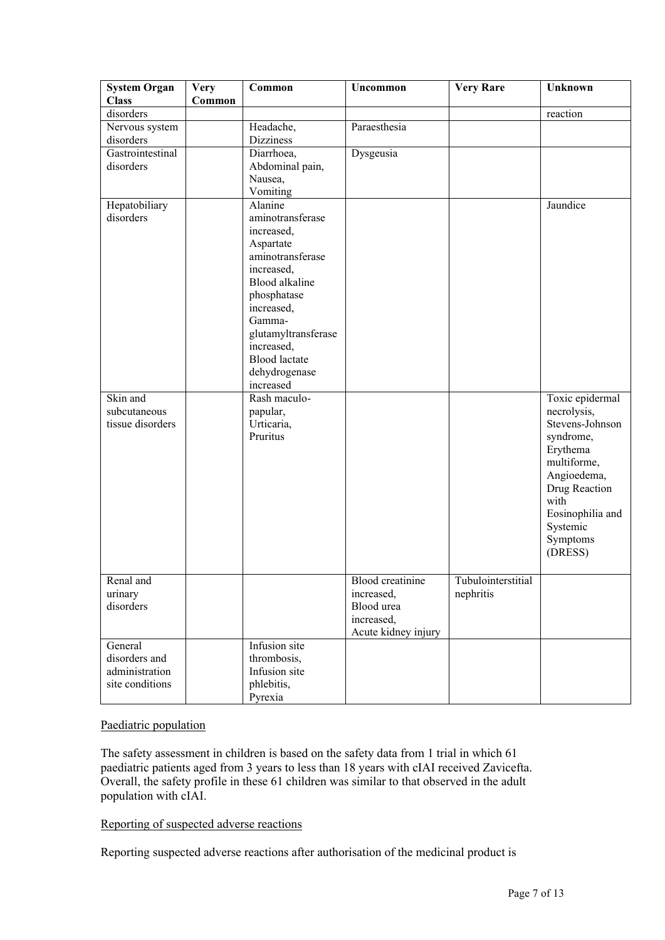| <b>System Organ</b><br><b>Class</b> | <b>Very</b><br>Common | Common                            | Uncommon                | <b>Very Rare</b>   | Unknown          |
|-------------------------------------|-----------------------|-----------------------------------|-------------------------|--------------------|------------------|
| disorders                           |                       |                                   |                         |                    | reaction         |
| Nervous system                      |                       | Headache,                         | Paraesthesia            |                    |                  |
| disorders                           |                       | <b>Dizziness</b>                  |                         |                    |                  |
| Gastrointestinal                    |                       | Diarrhoea,                        | Dysgeusia               |                    |                  |
| disorders                           |                       | Abdominal pain,                   |                         |                    |                  |
|                                     |                       | Nausea,                           |                         |                    |                  |
|                                     |                       | Vomiting                          |                         |                    |                  |
| Hepatobiliary                       |                       | Alanine                           |                         |                    | Jaundice         |
| disorders                           |                       | aminotransferase                  |                         |                    |                  |
|                                     |                       | increased,                        |                         |                    |                  |
|                                     |                       | Aspartate                         |                         |                    |                  |
|                                     |                       | aminotransferase                  |                         |                    |                  |
|                                     |                       | increased,                        |                         |                    |                  |
|                                     |                       | <b>Blood</b> alkaline             |                         |                    |                  |
|                                     |                       | phosphatase                       |                         |                    |                  |
|                                     |                       | increased,                        |                         |                    |                  |
|                                     |                       | Gamma-                            |                         |                    |                  |
|                                     |                       | glutamyltransferase<br>increased, |                         |                    |                  |
|                                     |                       | <b>Blood</b> lactate              |                         |                    |                  |
|                                     |                       | dehydrogenase                     |                         |                    |                  |
|                                     |                       | increased                         |                         |                    |                  |
| Skin and                            |                       | Rash maculo-                      |                         |                    | Toxic epidermal  |
| subcutaneous                        |                       | papular,                          |                         |                    | necrolysis,      |
| tissue disorders                    |                       | Urticaria,                        |                         |                    | Stevens-Johnson  |
|                                     |                       | Pruritus                          |                         |                    | syndrome,        |
|                                     |                       |                                   |                         |                    | Erythema         |
|                                     |                       |                                   |                         |                    | multiforme,      |
|                                     |                       |                                   |                         |                    | Angioedema,      |
|                                     |                       |                                   |                         |                    | Drug Reaction    |
|                                     |                       |                                   |                         |                    | with             |
|                                     |                       |                                   |                         |                    | Eosinophilia and |
|                                     |                       |                                   |                         |                    | Systemic         |
|                                     |                       |                                   |                         |                    | Symptoms         |
|                                     |                       |                                   |                         |                    | (DRESS)          |
|                                     |                       |                                   |                         |                    |                  |
| Renal and                           |                       |                                   | <b>Blood</b> creatinine | Tubulointerstitial |                  |
| urinary                             |                       |                                   | increased,              | nephritis          |                  |
| disorders                           |                       |                                   | Blood urea              |                    |                  |
|                                     |                       |                                   | increased,              |                    |                  |
|                                     |                       |                                   | Acute kidney injury     |                    |                  |
| General                             |                       | Infusion site                     |                         |                    |                  |
| disorders and                       |                       | thrombosis,                       |                         |                    |                  |
| administration                      |                       | Infusion site                     |                         |                    |                  |
| site conditions                     |                       | phlebitis,                        |                         |                    |                  |
|                                     |                       | Pyrexia                           |                         |                    |                  |

### Paediatric population

The safety assessment in children is based on the safety data from 1 trial in which 61 paediatric patients aged from 3 years to less than 18 years with cIAI received Zavicefta. Overall, the safety profile in these 61 children was similar to that observed in the adult population with cIAI.

# Reporting of suspected adverse reactions

Reporting suspected adverse reactions after authorisation of the medicinal product is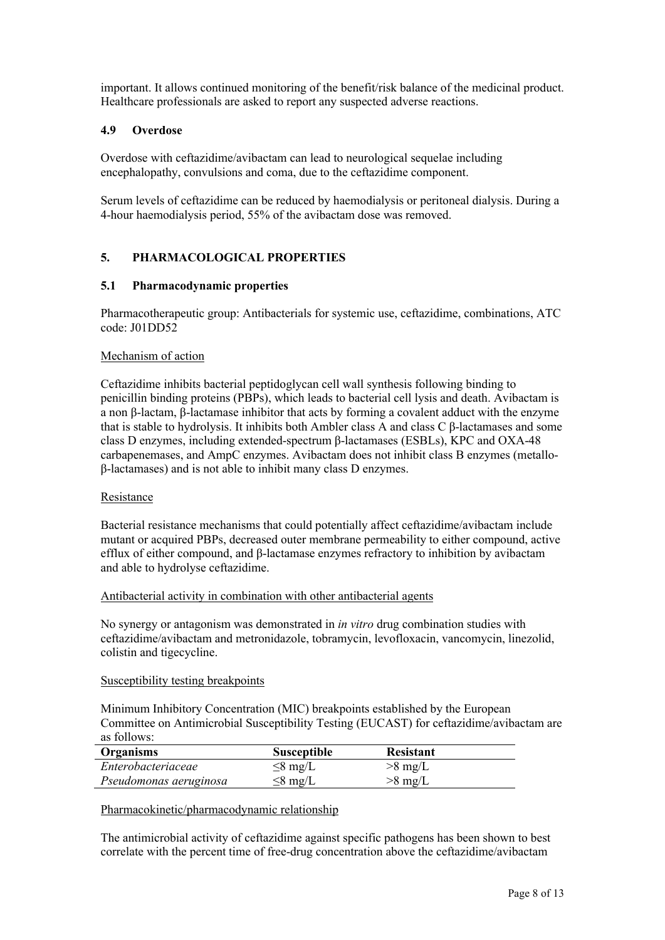important. It allows continued monitoring of the benefit/risk balance of the medicinal product. Healthcare professionals are asked to report any suspected adverse reactions.

### **4.9 Overdose**

Overdose with ceftazidime/avibactam can lead to neurological sequelae including encephalopathy, convulsions and coma, due to the ceftazidime component.

Serum levels of ceftazidime can be reduced by haemodialysis or peritoneal dialysis. During a 4-hour haemodialysis period, 55% of the avibactam dose was removed.

# **5. PHARMACOLOGICAL PROPERTIES**

# **5.1 Pharmacodynamic properties**

Pharmacotherapeutic group: Antibacterials for systemic use, ceftazidime, combinations, ATC code: J01DD52

### Mechanism of action

Ceftazidime inhibits bacterial peptidoglycan cell wall synthesis following binding to penicillin binding proteins (PBPs), which leads to bacterial cell lysis and death. Avibactam is a non β-lactam, β-lactamase inhibitor that acts by forming a covalent adduct with the enzyme that is stable to hydrolysis. It inhibits both Ambler class A and class C β-lactamases and some class D enzymes, including extended-spectrum β-lactamases (ESBLs), KPC and OXA-48 carbapenemases, and AmpC enzymes. Avibactam does not inhibit class B enzymes (metalloβ-lactamases) and is not able to inhibit many class D enzymes.

### Resistance

Bacterial resistance mechanisms that could potentially affect ceftazidime/avibactam include mutant or acquired PBPs, decreased outer membrane permeability to either compound, active efflux of either compound, and β-lactamase enzymes refractory to inhibition by avibactam and able to hydrolyse ceftazidime.

#### Antibacterial activity in combination with other antibacterial agents

No synergy or antagonism was demonstrated in *in vitro* drug combination studies with ceftazidime/avibactam and metronidazole, tobramycin, levofloxacin, vancomycin, linezolid, colistin and tigecycline.

### Susceptibility testing breakpoints

Minimum Inhibitory Concentration (MIC) breakpoints established by the European Committee on Antimicrobial Susceptibility Testing (EUCAST) for ceftazidime/avibactam are as follows:

| Organisms              | <b>Susceptible</b> | <b>Resistant</b> |
|------------------------|--------------------|------------------|
| Enterobacteriaceae     | $\leq$ 8 mg/L      | $>8$ mg/L        |
| Pseudomonas aeruginosa | $\leq$ 8 mg/L      | $>8$ mg/L        |

### Pharmacokinetic/pharmacodynamic relationship

The antimicrobial activity of ceftazidime against specific pathogens has been shown to best correlate with the percent time of free-drug concentration above the ceftazidime/avibactam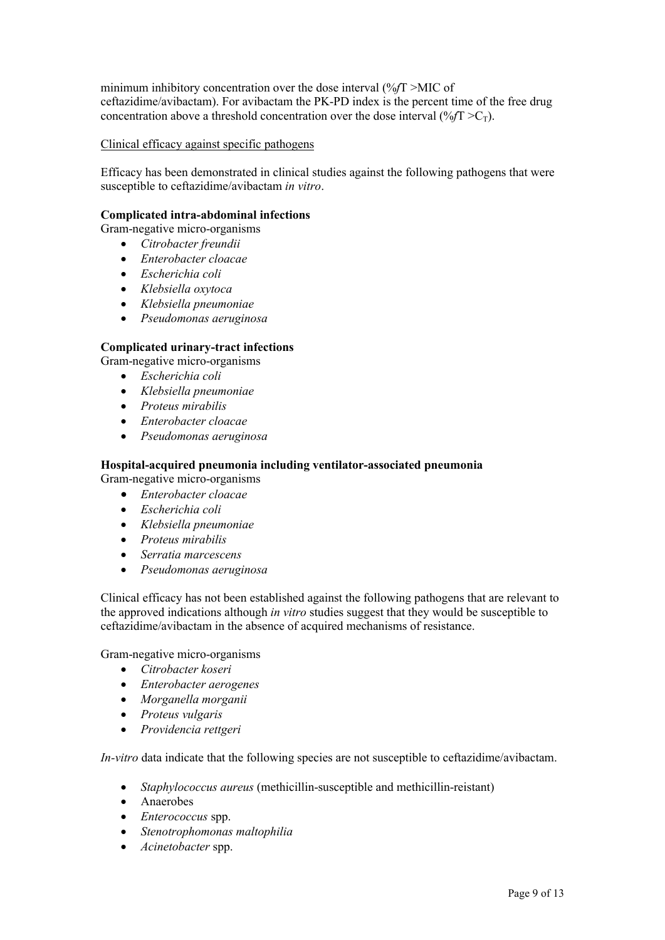minimum inhibitory concentration over the dose interval (%*f*T >MIC of ceftazidime/avibactam). For avibactam the PK-PD index is the percent time of the free drug concentration above a threshold concentration over the dose interval  $(\frac{\%}{T} > C_T)$ .

Clinical efficacy against specific pathogens

Efficacy has been demonstrated in clinical studies against the following pathogens that were susceptible to ceftazidime/avibactam *in vitro*.

### **Complicated intra-abdominal infections**

Gram-negative micro-organisms

- *Citrobacter freundii*
- *Enterobacter cloacae*
- *Escherichia coli*
- *Klebsiella oxytoca*
- *Klebsiella pneumoniae*
- *Pseudomonas aeruginosa*

# **Complicated urinary-tract infections**

Gram-negative micro-organisms

- *Escherichia coli*
- *Klebsiella pneumoniae*
- *Proteus mirabilis*
- *Enterobacter cloacae*
- *Pseudomonas aeruginosa*

# **Hospital-acquired pneumonia including ventilator-associated pneumonia**

Gram-negative micro-organisms

- *Enterobacter cloacae*
- *Escherichia coli*
- *Klebsiella pneumoniae*
- *Proteus mirabilis*
- *Serratia marcescens*
- *Pseudomonas aeruginosa*

Clinical efficacy has not been established against the following pathogens that are relevant to the approved indications although *in vitro* studies suggest that they would be susceptible to ceftazidime/avibactam in the absence of acquired mechanisms of resistance.

Gram-negative micro-organisms

- *Citrobacter koseri*
- *Enterobacter aerogenes*
- *Morganella morganii*
- *Proteus vulgaris*
- *Providencia rettgeri*

*In-vitro* data indicate that the following species are not susceptible to ceftazidime/avibactam.

- *Staphylococcus aureus* (methicillin-susceptible and methicillin-reistant)
- Anaerobes
- *Enterococcus* spp.
- *Stenotrophomonas maltophilia*
- *Acinetobacter* spp.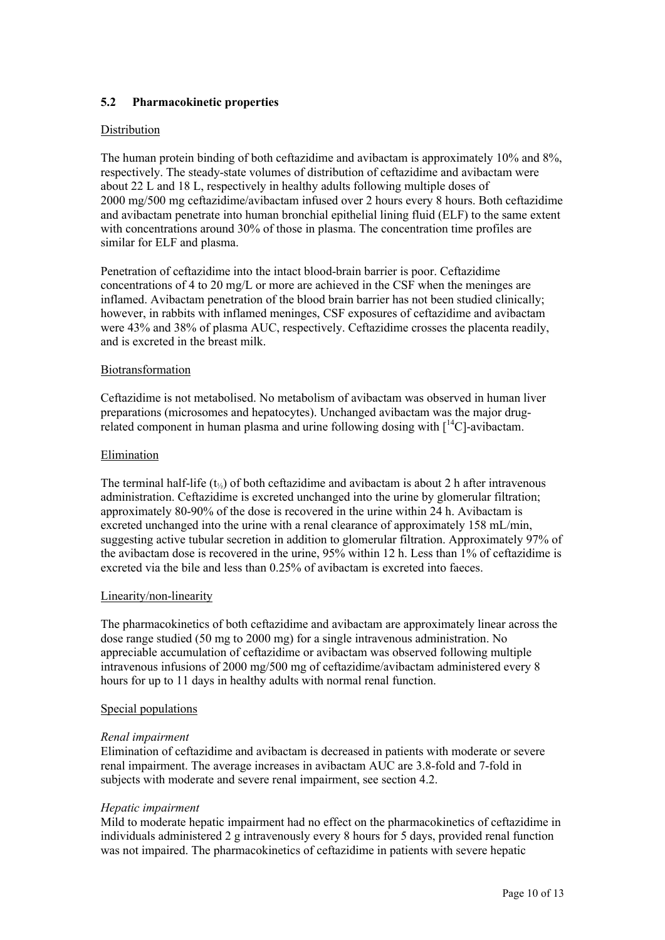# **5.2 Pharmacokinetic properties**

### Distribution

The human protein binding of both ceftazidime and avibactam is approximately 10% and 8%, respectively. The steady-state volumes of distribution of ceftazidime and avibactam were about 22 L and 18 L, respectively in healthy adults following multiple doses of 2000 mg/500 mg ceftazidime/avibactam infused over 2 hours every 8 hours. Both ceftazidime and avibactam penetrate into human bronchial epithelial lining fluid (ELF) to the same extent with concentrations around 30% of those in plasma. The concentration time profiles are similar for ELF and plasma.

Penetration of ceftazidime into the intact blood-brain barrier is poor. Ceftazidime concentrations of 4 to 20 mg/L or more are achieved in the CSF when the meninges are inflamed. Avibactam penetration of the blood brain barrier has not been studied clinically; however, in rabbits with inflamed meninges, CSF exposures of ceftazidime and avibactam were 43% and 38% of plasma AUC, respectively. Ceftazidime crosses the placenta readily, and is excreted in the breast milk.

### Biotransformation

Ceftazidime is not metabolised. No metabolism of avibactam was observed in human liver preparations (microsomes and hepatocytes). Unchanged avibactam was the major drugrelated component in human plasma and urine following dosing with  $\int_{0}^{14}C$ -avibactam.

#### Elimination

The terminal half-life ( $t_{\%}$ ) of both ceftazidime and avibactam is about 2 h after intravenous administration. Ceftazidime is excreted unchanged into the urine by glomerular filtration; approximately 80-90% of the dose is recovered in the urine within 24 h. Avibactam is excreted unchanged into the urine with a renal clearance of approximately 158 mL/min, suggesting active tubular secretion in addition to glomerular filtration. Approximately 97% of the avibactam dose is recovered in the urine, 95% within 12 h. Less than 1% of ceftazidime is excreted via the bile and less than 0.25% of avibactam is excreted into faeces.

### Linearity/non-linearity

The pharmacokinetics of both ceftazidime and avibactam are approximately linear across the dose range studied (50 mg to 2000 mg) for a single intravenous administration. No appreciable accumulation of ceftazidime or avibactam was observed following multiple intravenous infusions of 2000 mg/500 mg of ceftazidime/avibactam administered every 8 hours for up to 11 days in healthy adults with normal renal function.

#### Special populations

### *Renal impairment*

Elimination of ceftazidime and avibactam is decreased in patients with moderate or severe renal impairment. The average increases in avibactam AUC are 3.8-fold and 7-fold in subjects with moderate and severe renal impairment, see section 4.2.

#### *Hepatic impairment*

Mild to moderate hepatic impairment had no effect on the pharmacokinetics of ceftazidime in individuals administered 2 g intravenously every 8 hours for 5 days, provided renal function was not impaired. The pharmacokinetics of ceftazidime in patients with severe hepatic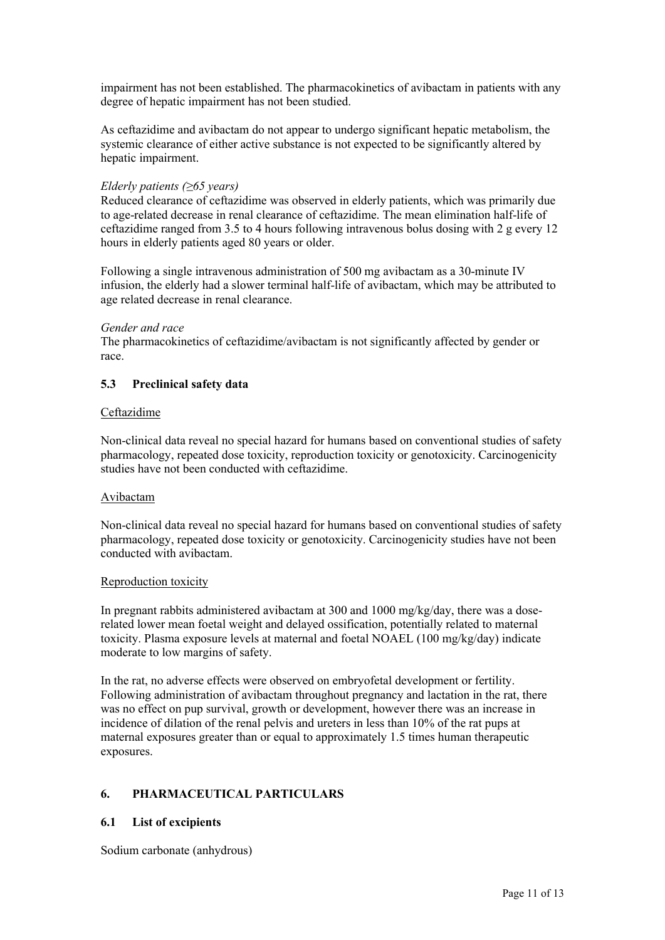impairment has not been established. The pharmacokinetics of avibactam in patients with any degree of hepatic impairment has not been studied.

As ceftazidime and avibactam do not appear to undergo significant hepatic metabolism, the systemic clearance of either active substance is not expected to be significantly altered by hepatic impairment.

### *Elderly patients (≥65 years)*

Reduced clearance of ceftazidime was observed in elderly patients, which was primarily due to age-related decrease in renal clearance of ceftazidime. The mean elimination half-life of ceftazidime ranged from 3.5 to 4 hours following intravenous bolus dosing with 2 g every 12 hours in elderly patients aged 80 years or older.

Following a single intravenous administration of 500 mg avibactam as a 30-minute IV infusion, the elderly had a slower terminal half-life of avibactam, which may be attributed to age related decrease in renal clearance.

#### *Gender and race*

The pharmacokinetics of ceftazidime/avibactam is not significantly affected by gender or race.

### **5.3 Preclinical safety data**

#### Ceftazidime

Non-clinical data reveal no special hazard for humans based on conventional studies of safety pharmacology, repeated dose toxicity, reproduction toxicity or genotoxicity. Carcinogenicity studies have not been conducted with ceftazidime.

#### Avibactam

Non-clinical data reveal no special hazard for humans based on conventional studies of safety pharmacology, repeated dose toxicity or genotoxicity. Carcinogenicity studies have not been conducted with avibactam.

#### Reproduction toxicity

In pregnant rabbits administered avibactam at 300 and 1000 mg/kg/day, there was a doserelated lower mean foetal weight and delayed ossification, potentially related to maternal toxicity. Plasma exposure levels at maternal and foetal NOAEL (100 mg/kg/day) indicate moderate to low margins of safety.

In the rat, no adverse effects were observed on embryofetal development or fertility. Following administration of avibactam throughout pregnancy and lactation in the rat, there was no effect on pup survival, growth or development, however there was an increase in incidence of dilation of the renal pelvis and ureters in less than 10% of the rat pups at maternal exposures greater than or equal to approximately 1.5 times human therapeutic exposures.

### **6. PHARMACEUTICAL PARTICULARS**

### **6.1 List of excipients**

Sodium carbonate (anhydrous)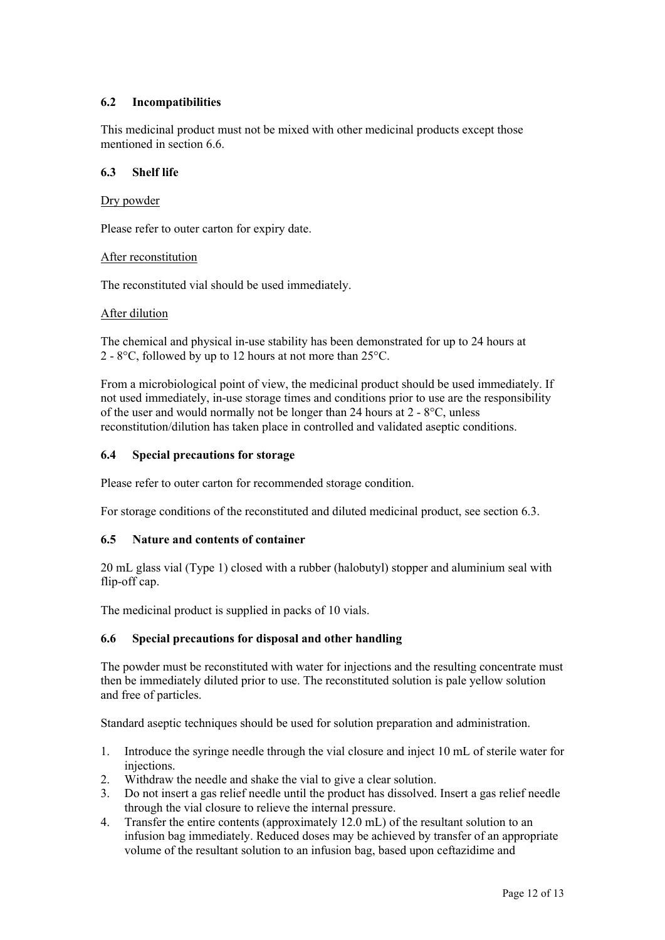# **6.2 Incompatibilities**

This medicinal product must not be mixed with other medicinal products except those mentioned in section 6.6.

### **6.3 Shelf life**

#### Dry powder

Please refer to outer carton for expiry date.

#### After reconstitution

The reconstituted vial should be used immediately.

#### After dilution

The chemical and physical in-use stability has been demonstrated for up to 24 hours at 2 - 8°C, followed by up to 12 hours at not more than 25°C.

From a microbiological point of view, the medicinal product should be used immediately. If not used immediately, in-use storage times and conditions prior to use are the responsibility of the user and would normally not be longer than 24 hours at 2 - 8°C, unless reconstitution/dilution has taken place in controlled and validated aseptic conditions.

#### **6.4 Special precautions for storage**

Please refer to outer carton for recommended storage condition.

For storage conditions of the reconstituted and diluted medicinal product, see section 6.3.

### **6.5 Nature and contents of container**

20 mL glass vial (Type 1) closed with a rubber (halobutyl) stopper and aluminium seal with flip-off cap.

The medicinal product is supplied in packs of 10 vials.

### **6.6 Special precautions for disposal and other handling**

The powder must be reconstituted with water for injections and the resulting concentrate must then be immediately diluted prior to use. The reconstituted solution is pale yellow solution and free of particles.

Standard aseptic techniques should be used for solution preparation and administration.

- 1. Introduce the syringe needle through the vial closure and inject 10 mL of sterile water for *injections*
- 2. Withdraw the needle and shake the vial to give a clear solution.
- 3. Do not insert a gas relief needle until the product has dissolved. Insert a gas relief needle through the vial closure to relieve the internal pressure.
- 4. Transfer the entire contents (approximately 12.0 mL) of the resultant solution to an infusion bag immediately. Reduced doses may be achieved by transfer of an appropriate volume of the resultant solution to an infusion bag, based upon ceftazidime and